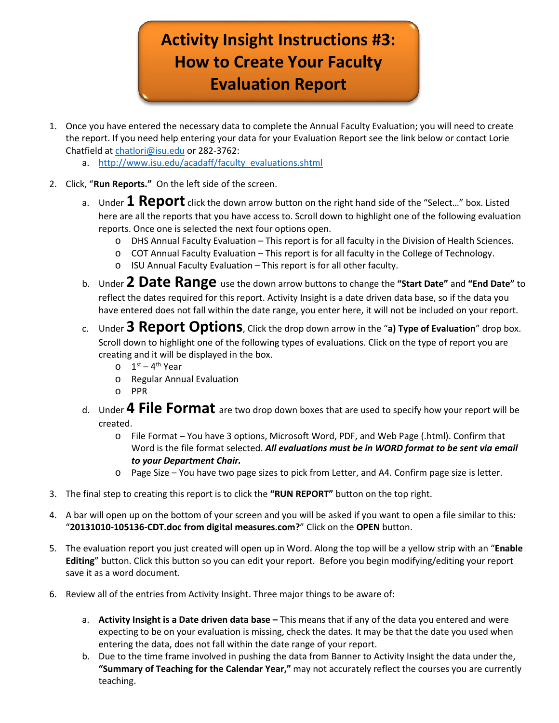## **Activity Insight Instructions #3: How to Create Your Faculty Evaluation Report**

- 1. Once you have entered the necessary data to complete the Annual Faculty Evaluation; you will need to create the report. If you need help entering your data for your Evaluation Report see the link below or contact Lorie Chatfield at [chatlori@isu.edu](mailto:chatlori@isu.edu) or 282-3762:
	- a. [http://www.isu.edu/acadaff/faculty\\_evaluations.shtml](http://www.isu.edu/acadaff/faculty_evaluations.shtml)
- 2. Click, "**Run Reports."** On the left side of the screen.
	- a. Under **1 Report** click the down arrow button on the right hand side of the "Select…" box. Listed here are all the reports that you have access to. Scroll down to highlight one of the following evaluation reports. Once one is selected the next four options open.
		- o DHS Annual Faculty Evaluation This report is for all faculty in the Division of Health Sciences.
		- $\circ$  COT Annual Faculty Evaluation This report is for all faculty in the College of Technology.
		- o ISU Annual Faculty Evaluation This report is for all other faculty.
	- b. Under **2 Date Range** use the down arrow buttons to change the **"Start Date"** and **"End Date"** to reflect the dates required for this report. Activity Insight is a date driven data base, so if the data you have entered does not fall within the date range, you enter here, it will not be included on your report.
	- c. Under **3 Report Options**, Click the drop down arrow in the "**a) Type of Evaluation**" drop box. Scroll down to highlight one of the following types of evaluations. Click on the type of report you are creating and it will be displayed in the box.
		- $0$  1<sup>st</sup> 4<sup>th</sup> Year
		- o Regular Annual Evaluation
		- o PPR
	- d. Under **4 File Format** are two drop down boxes that are used to specify how your report will be created.
		- o File Format You have 3 options, Microsoft Word, PDF, and Web Page (.html). Confirm that Word is the file format selected. *All evaluations must be in WORD format to be sent via email to your Department Chair.*
		- o Page Size You have two page sizes to pick from Letter, and A4. Confirm page size is letter.
- 3. The final step to creating this report is to click the **"RUN REPORT"** button on the top right.
- 4. A bar will open up on the bottom of your screen and you will be asked if you want to open a file similar to this: "**20131010-105136-CDT.doc from digital measures.com?**" Click on the **OPEN** button.
- 5. The evaluation report you just created will open up in Word. Along the top will be a yellow strip with an "**Enable Editing**" button. Click this button so you can edit your report. Before you begin modifying/editing your report save it as a word document.
- 6. Review all of the entries from Activity Insight. Three major things to be aware of:
	- a. **Activity Insight is a Date driven data base –** This means that if any of the data you entered and were expecting to be on your evaluation is missing, check the dates. It may be that the date you used when entering the data, does not fall within the date range of your report.
	- b. Due to the time frame involved in pushing the data from Banner to Activity Insight the data under the, **"Summary of Teaching for the Calendar Year,"** may not accurately reflect the courses you are currently teaching.